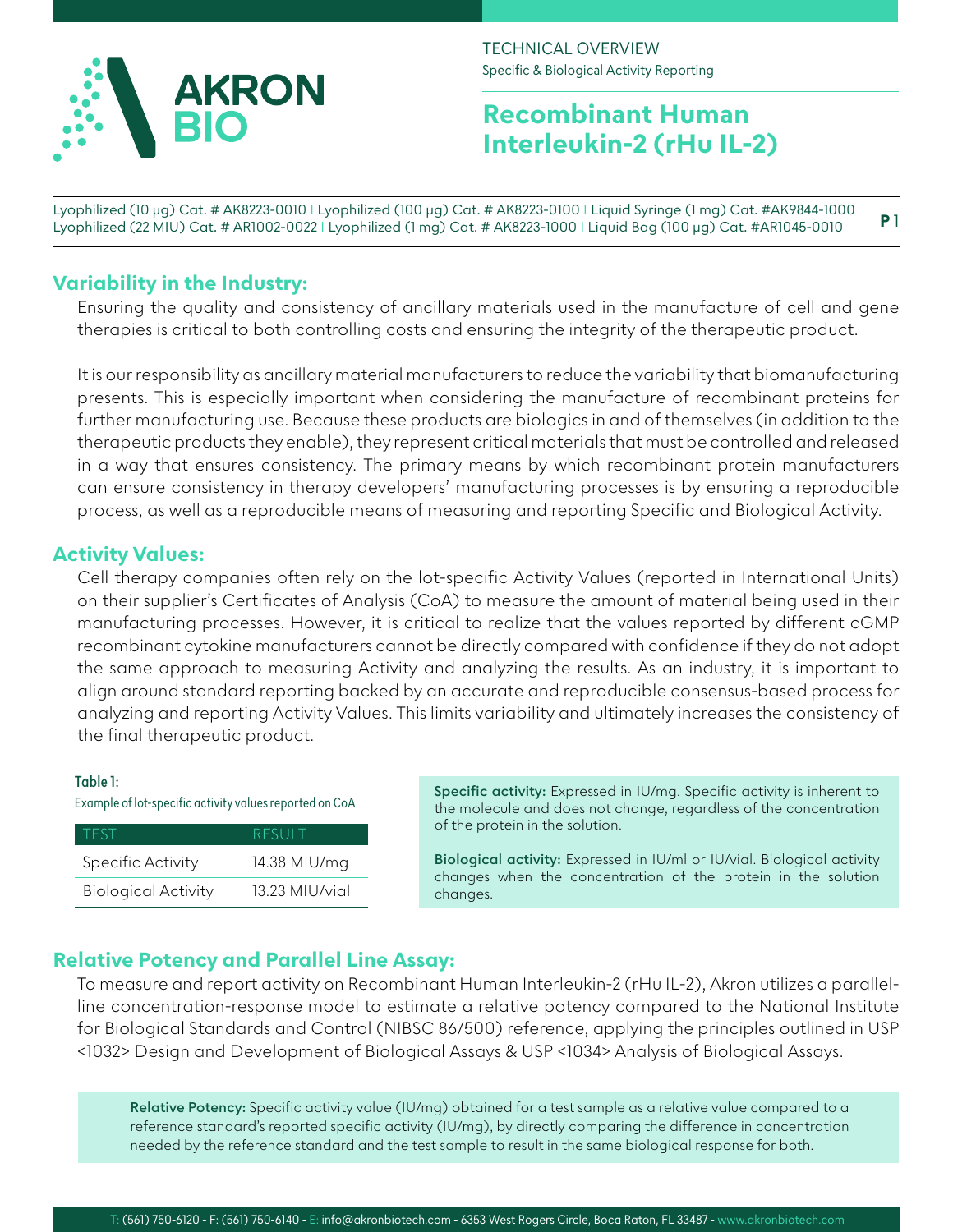

# **Recombinant Human Interleukin-2 (rHu IL-2)**

Lyophilized (10 µg) Cat. # AK8223-0010 I Lyophilized (100 µg) Cat. # AK8223-0100 I Liquid Syringe (1 mg) Cat. #AK9844-1000 Lyophilized (22 MIU) Cat. # AR1002-0022 I Lyophilized (1 mg) Cat. # AK8223-1000 I Liquid Bag (100 μg) Cat. #AR1045-0010 **P** 1

### **Variability in the Industry:**

Ensuring the quality and consistency of ancillary materials used in the manufacture of cell and gene therapies is critical to both controlling costs and ensuring the integrity of the therapeutic product.

It is our responsibility as ancillary material manufacturers to reduce the variability that biomanufacturing presents. This is especially important when considering the manufacture of recombinant proteins for further manufacturing use. Because these products are biologics in and of themselves (in addition to the therapeutic products they enable), they represent critical materials that must be controlled and released in a way that ensures consistency. The primary means by which recombinant protein manufacturers can ensure consistency in therapy developers' manufacturing processes is by ensuring a reproducible process, as well as a reproducible means of measuring and reporting Specific and Biological Activity.

### **Activity Values:**

Cell therapy companies often rely on the lot-specific Activity Values (reported in International Units) on their supplier's Certificates of Analysis (CoA) to measure the amount of material being used in their manufacturing processes. However, it is critical to realize that the values reported by different cGMP recombinant cytokine manufacturers cannot be directly compared with confidence if they do not adopt the same approach to measuring Activity and analyzing the results. As an industry, it is important to align around standard reporting backed by an accurate and reproducible consensus-based process for analyzing and reporting Activity Values. This limits variability and ultimately increases the consistency of the final therapeutic product.

### **Table 1:**

Example of lot-specific activity values reported on CoA

| <b>TEST</b>                | RESULT         |
|----------------------------|----------------|
| <b>Specific Activity</b>   | 14.38 MIU/mq   |
| <b>Biological Activity</b> | 13.23 MIU/vial |

**Specific activity:** Expressed in IU/mg. Specific activity is inherent to the molecule and does not change, regardless of the concentration of the protein in the solution.

**Biological activity:** Expressed in IU/ml or IU/vial. Biological activity changes when the concentration of the protein in the solution changes.

### **Relative Potency and Parallel Line Assay:**

To measure and report activity on Recombinant Human Interleukin-2 (rHu IL-2), Akron utilizes a parallelline concentration-response model to estimate a relative potency compared to the National Institute for Biological Standards and Control (NIBSC 86/500) reference, applying the principles outlined in USP <1032> Design and Development of Biological Assays & USP <1034> Analysis of Biological Assays.

**Relative Potency:** Specific activity value (IU/mg) obtained for a test sample as a relative value compared to a reference standard's reported specific activity (IU/mg), by directly comparing the difference in concentration needed by the reference standard and the test sample to result in the same biological response for both.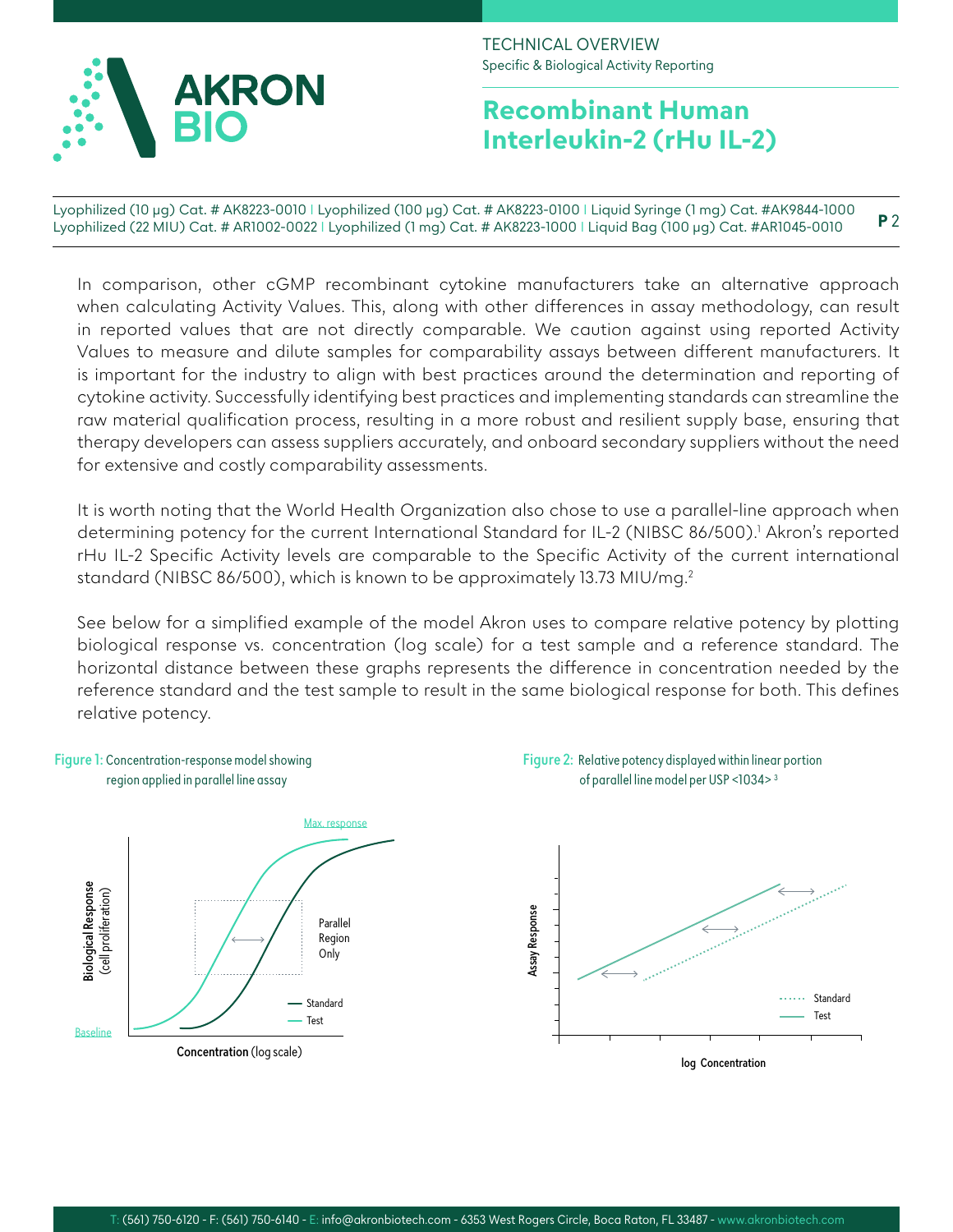

# **Recombinant Human Interleukin-2 (rHu IL-2)**

Lyophilized (10 µg) Cat. # AK8223-0010 I Lyophilized (100 µg) Cat. # AK8223-0100 I Liquid Syringe (1 mg) Cat. #AK9844-1000 Lyophilized (22 MIU) Cat. # AR1002-0022 I Lyophilized (1 mg) Cat. # AK8223-1000 I Liquid Bag (100 μg) Cat. #AR1045-0010 **P** 2

In comparison, other cGMP recombinant cytokine manufacturers take an alternative approach when calculating Activity Values. This, along with other differences in assay methodology, can result in reported values that are not directly comparable. We caution against using reported Activity Values to measure and dilute samples for comparability assays between different manufacturers. It is important for the industry to align with best practices around the determination and reporting of cytokine activity. Successfully identifying best practices and implementing standards can streamline the raw material qualification process, resulting in a more robust and resilient supply base, ensuring that therapy developers can assess suppliers accurately, and onboard secondary suppliers without the need for extensive and costly comparability assessments.

It is worth noting that the World Health Organization also chose to use a parallel-line approach when determining potency for the current International Standard for IL-2 (NIBSC 86/500).<sup>1</sup> Akron's reported rHu IL-2 Specific Activity levels are comparable to the Specific Activity of the current international standard (NIBSC 86/500), which is known to be approximately 13.73 MIU/mg.2

See below for a simplified example of the model Akron uses to compare relative potency by plotting biological response vs. concentration (log scale) for a test sample and a reference standard. The horizontal distance between these graphs represents the difference in concentration needed by the reference standard and the test sample to result in the same biological response for both. This defines relative potency.

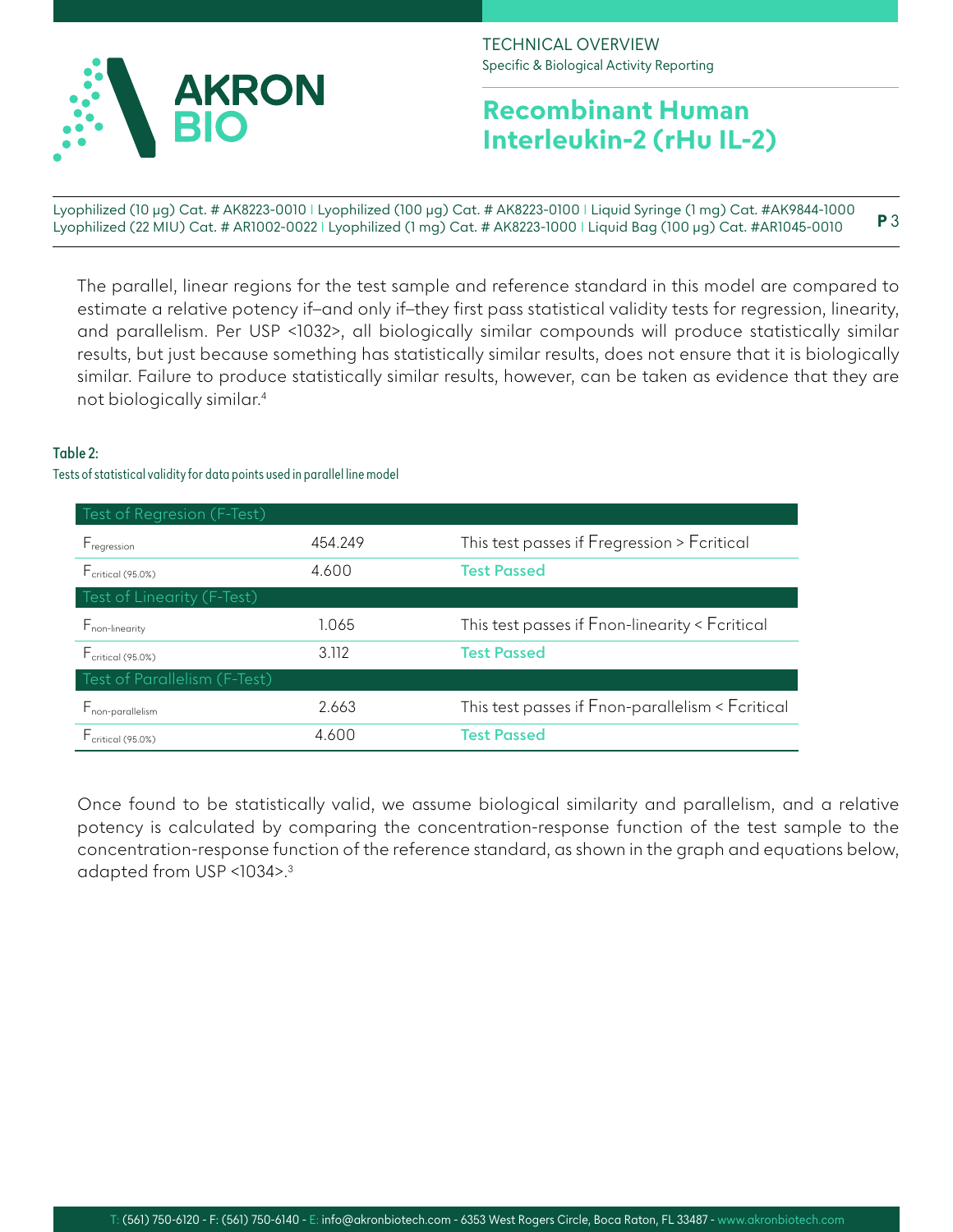

# **Recombinant Human Interleukin-2 (rHu IL-2)**

Lyophilized (10 µg) Cat. # AK8223-0010 I Lyophilized (100 µg) Cat. # AK8223-0100 I Liquid Syringe (1 mg) Cat. #AK9844-1000 Lyophilized (22 MIU) Cat. # AR1002-0022 I Lyophilized (1 mg) Cat. # AK8223-1000 I Liquid Bag (100 μg) Cat. #AR1045-0010 **P** 3

The parallel, linear regions for the test sample and reference standard in this model are compared to estimate a relative potency if-and only if-they first pass statistical validity tests for regression, linearity, and parallelism. Per USP <1032>, all biologically similar compounds will produce statistically similar results, but just because something has statistically similar results, does not ensure that it is biologically similar. Failure to produce statistically similar results, however, can be taken as evidence that they are not biologically similar.4

### **Table 2:**

Tests of statistical validity for data points used in parallel line model

| Test of Regresion (F-Test)          |         |                                                  |
|-------------------------------------|---------|--------------------------------------------------|
| F <sub>regression</sub>             | 454.249 | This test passes if Fregression > Fcritical      |
| $F_{\text{critical (95.0%)}}$       | 4.600   | <b>Test Passed</b>                               |
| Test of Linearity (F-Test)          |         |                                                  |
| $F_{\text{non-linearity}}$          | 1.065   | This test passes if Fnon-linearity < Fcritical   |
| $F_{\text{critical (95.0%)}}$       | 3.112   | <b>Test Passed</b>                               |
| Test of Parallelism (F-Test)        |         |                                                  |
| <b>F</b> <sub>non-parallelism</sub> | 2.663   | This test passes if Fnon-parallelism < Fcritical |
| $F_{\text{critical (95.0%)}}$       | 4.600   | <b>Test Passed</b>                               |

Once found to be statistically valid, we assume biological similarity and parallelism, and a relative potency is calculated by comparing the concentration-response function of the test sample to the concentration-response function of the reference standard, as shown in the graph and equations below, adapted from USP <1034>.3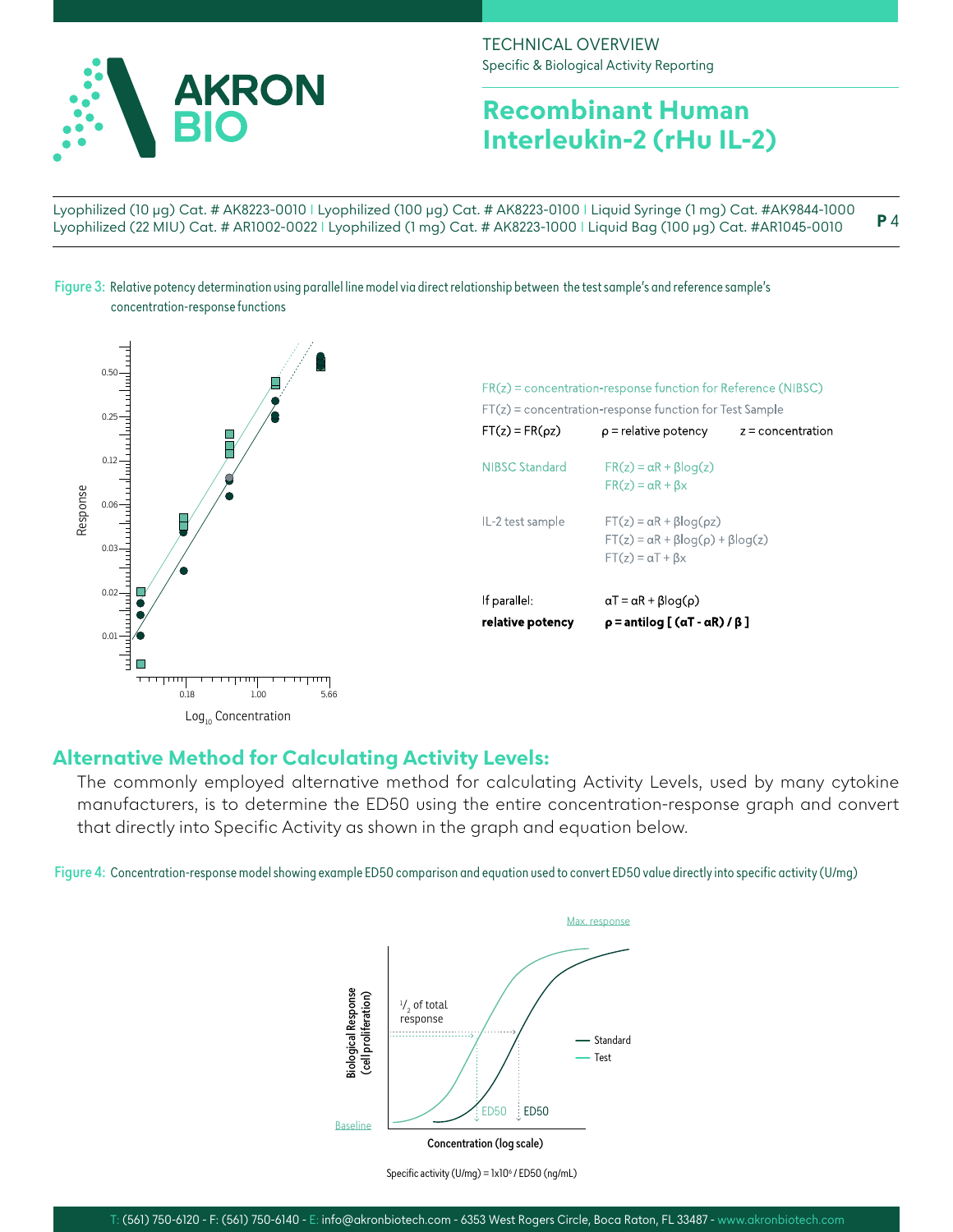

## **Recombinant Human Interleukin-2 (rHu IL-2)**

Lyophilized (10 µg) Cat. # AK8223-0010 I Lyophilized (100 µg) Cat. # AK8223-0100 I Liquid Syringe (1 mg) Cat. #AK9844-1000 Lyophilized (22 MIU) Cat. # AR1002-0022 I Lyophilized (1 mg) Cat. # AK8223-1000 I Liquid Bag (100 μg) Cat. #AR1045-0010 **P** 4

**Figure 3:** Relative potency determination using parallel line model via direct relationship between the test sample's and reference sample's concentration-response functions



### **Alternative Method for Calculating Activity Levels:**

The commonly employed alternative method for calculating Activity Levels, used by many cytokine manufacturers, is to determine the ED50 using the entire concentration-response graph and convert that directly into Specific Activity as shown in the graph and equation below.

**Figure 4:** Concentration-response model showing example ED50 comparison and equation used to convert ED50 value directly into specific activity (U/mg)



Specific activity (U/mg) =  $lx10<sup>6</sup>$  / ED50 (ng/mL)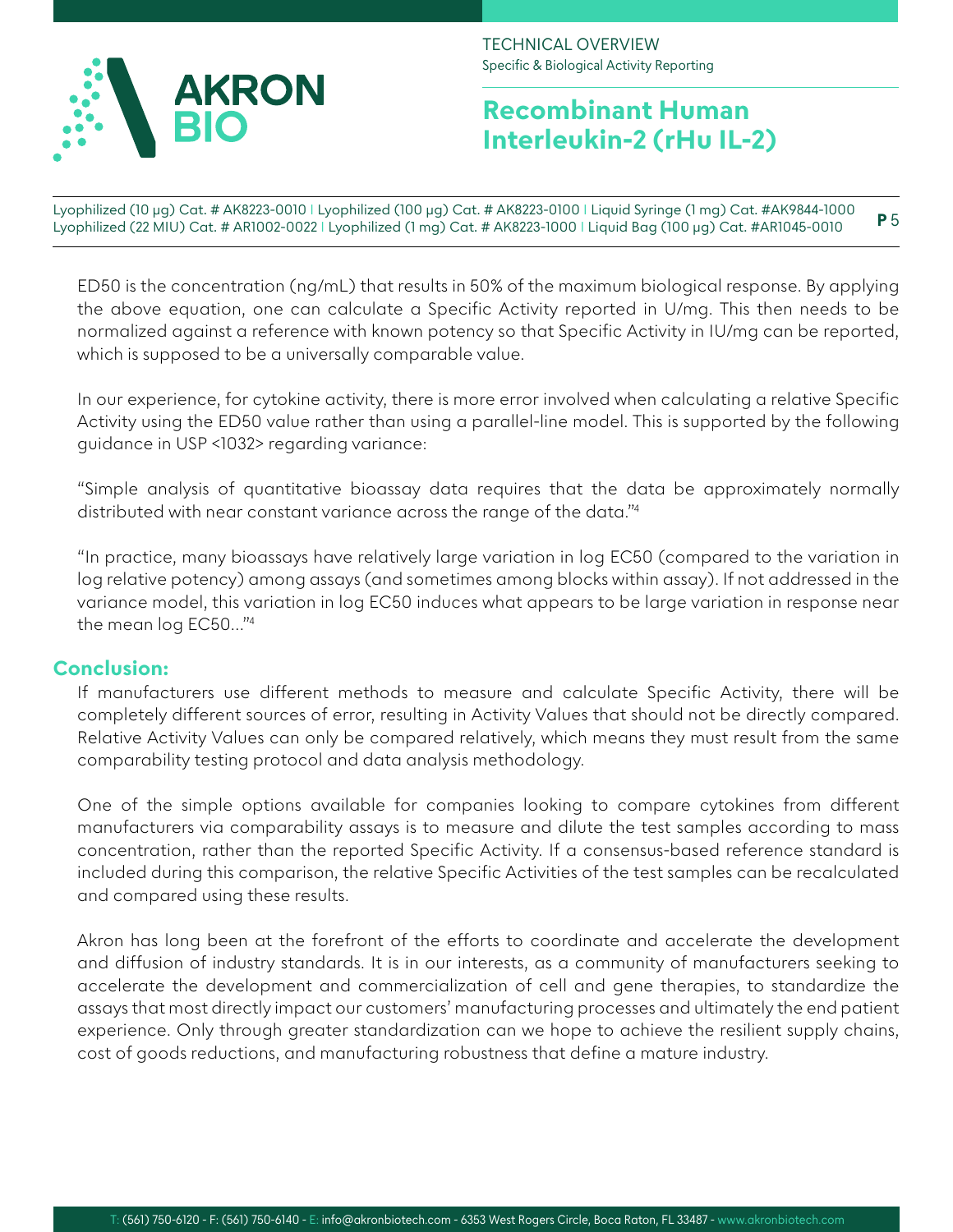

# **Recombinant Human Interleukin-2 (rHu IL-2)**

Lyophilized (10 µg) Cat. # AK8223-0010 I Lyophilized (100 µg) Cat. # AK8223-0100 I Liquid Syringe (1 mg) Cat. #AK9844-1000 Lyophilized (22 MIU) Cat. # AR1002-0022 I Lyophilized (1 mg) Cat. # AK8223-1000 I Liquid Bag (100 μg) Cat. #AR1045-0010 **P** 5

ED50 is the concentration (ng/mL) that results in 50% of the maximum biological response. By applying the above equation, one can calculate a Specific Activity reported in U/mg. This then needs to be normalized against a reference with known potency so that Specific Activity in IU/mg can be reported, which is supposed to be a universally comparable value.

In our experience, for cytokine activity, there is more error involved when calculating a relative Specific Activity using the ED50 value rather than using a parallel-line model. This is supported by the following guidance in USP <1032> regarding variance:

"Simple analysis of quantitative bioassay data requires that the data be approximately normally distributed with near constant variance across the range of the data."4

"In practice, many bioassays have relatively large variation in log EC50 (compared to the variation in log relative potency) among assays (and sometimes among blocks within assay). If not addressed in the variance model, this variation in log EC50 induces what appears to be large variation in response near the mean log EC50…"4

### **Conclusion:**

If manufacturers use different methods to measure and calculate Specific Activity, there will be completely different sources of error, resulting in Activity Values that should not be directly compared. Relative Activity Values can only be compared relatively, which means they must result from the same comparability testing protocol and data analysis methodology.

One of the simple options available for companies looking to compare cytokines from different manufacturers via comparability assays is to measure and dilute the test samples according to mass concentration, rather than the reported Specific Activity. If a consensus-based reference standard is included during this comparison, the relative Specific Activities of the test samples can be recalculated and compared using these results.

Akron has long been at the forefront of the efforts to coordinate and accelerate the development and diffusion of industry standards. It is in our interests, as a community of manufacturers seeking to accelerate the development and commercialization of cell and gene therapies, to standardize the assays that most directly impact our customers' manufacturing processes and ultimately the end patient experience. Only through greater standardization can we hope to achieve the resilient supply chains, cost of goods reductions, and manufacturing robustness that define a mature industry.